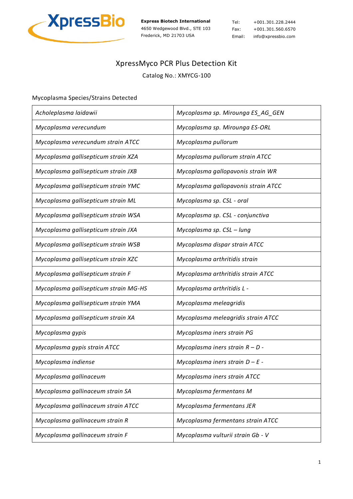

Tel: +001.301.228.2444 Fax: +001.301.560.6570 Email: info@xpressbio.com

## XpressMyco PCR Plus Detection Kit

Catalog No.: XMYCG-100

## Mycoplasma Species/Strains Detected

| Acholeplasma laidawii                 | Mycoplasma sp. Mirounga ES_AG_GEN   |
|---------------------------------------|-------------------------------------|
| Mycoplasma verecundum                 | Mycoplasma sp. Mirounga ES-ORL      |
| Mycoplasma verecundum strain ATCC     | Mycoplasma pullorum                 |
| Mycoplasma gallisepticum strain XZA   | Mycoplasma pullorum strain ATCC     |
| Mycoplasma gallisepticum strain JXB   | Mycoplasma gallopavonis strain WR   |
| Mycoplasma gallisepticum strain YMC   | Mycoplasma gallopavonis strain ATCC |
| Mycoplasma gallisepticum strain ML    | Mycoplasma sp. CSL - oral           |
| Mycoplasma gallisepticum strain WSA   | Mycoplasma sp. CSL - conjunctiva    |
| Mycoplasma gallisepticum strain JXA   | Mycoplasma sp. CSL - lung           |
| Mycoplasma gallisepticum strain WSB   | Mycoplasma dispar strain ATCC       |
| Mycoplasma gallisepticum strain XZC   | Mycoplasma arthritidis strain       |
| Mycoplasma gallisepticum strain F     | Mycoplasma arthritidis strain ATCC  |
| Mycoplasma gallisepticum strain MG-HS | Mycoplasma arthritidis L -          |
| Mycoplasma gallisepticum strain YMA   | Mycoplasma meleagridis              |
| Mycoplasma gallisepticum strain XA    | Mycoplasma meleagridis strain ATCC  |
| Mycoplasma gypis                      | Mycoplasma iners strain PG          |
| Mycoplasma gypis strain ATCC          | Mycoplasma iners strain $R - D$ -   |
| Mycoplasma indiense                   | Mycoplasma iners strain $D - E$ -   |
| Mycoplasma gallinaceum                | Mycoplasma iners strain ATCC        |
| Mycoplasma gallinaceum strain SA      | Mycoplasma fermentans M             |
| Mycoplasma gallinaceum strain ATCC    | Mycoplasma fermentans JER           |
| Mycoplasma gallinaceum strain R       | Mycoplasma fermentans strain ATCC   |
| Mycoplasma gallinaceum strain F       | Mycoplasma vulturii strain Gb - V   |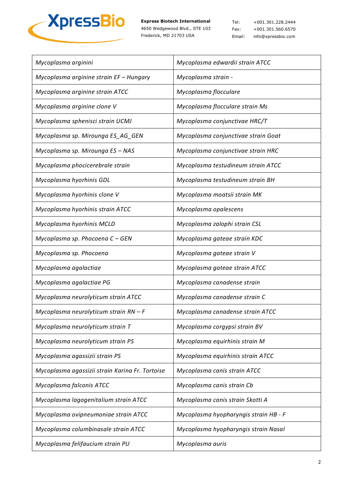

Tel: +001.301.228.2444 Fax: +001.301.560.6570 Email: info@xpressbio.com

| Mycoplasma arginini                             | Mycoplasma edwardii strain ATCC       |
|-------------------------------------------------|---------------------------------------|
| Mycoplasma arginine strain EF - Hungary         | Mycoplasma strain -                   |
| Mycoplasma arginine strain ATCC                 | Mycoplasma flocculare                 |
| Mycoplasma arginine clone V                     | Mycoplasma flocculare strain Ms       |
| Mycoplasma sphenisci strain UCMJ                | Mycoplasma conjunctivae HRC/T         |
| Mycoplasma sp. Mirounga ES_AG_GEN               | Mycoplasma conjunctivae strain Goat   |
| Mycoplasma sp. Mirounga ES - NAS                | Mycoplasma conjunctivae strain HRC    |
| Mycoplasma phocicerebrale strain                | Mycoplasma testudineum strain ATCC    |
| Mycoplasma hyorhinis GDL                        | Mycoplasma testudineum strain BH      |
| Mycoplasma hyorhinis clone V                    | Mycoplasma moatsii strain MK          |
| Mycoplasma hyorhinis strain ATCC                | Mycoplasma opalescens                 |
| Mycoplasma hyorhinis MCLD                       | Mycoplasma zalophi strain CSL         |
| Mycoplasma sp. Phocoena C - GEN                 | Mycoplasma gateae strain KDC          |
| Mycoplasma sp. Phocoena                         | Mycoplasma gateae strain V            |
| Mycoplasma agalactiae                           | Mycoplasma gateae strain ATCC         |
| Mycoplasma agalactiae PG                        | Mycoplasma canadense strain           |
| Mycoplasma neurolyticum strain ATCC             | Mycoplasma canadense strain C         |
| Mycoplasma neurolyticum strain $RN - F$         | Mycoplasma canadense strain ATCC      |
| Mycoplasma neurolyticum strain T                | Mycoplasma corgypsi strain BV         |
| Mycoplasma neurolyticum strain PS               | Mycoplasma equirhinis strain M        |
| Mycoplasma agassizii strain PS                  | Mycoplasma equirhinis strain ATCC     |
| Mycoplasma agassizii strain Karina Fr. Tortoise | Mycoplasma canis strain ATCC          |
| Mycoplasma falconis ATCC                        | Mycoplasma canis strain Cb            |
| Mycoplasma lagogenitalium strain ATCC           | Mycoplasma canis strain Skotti A      |
| Mycoplasma ovipneumoniae strain ATCC            | Mycoplasma hyopharyngis strain HB - F |
| Mycoplasma columbinasale strain ATCC            | Mycoplasma hyopharyngis strain Nasal  |
| Mycoplasma felifaucium strain PU                | Mycoplasma auris                      |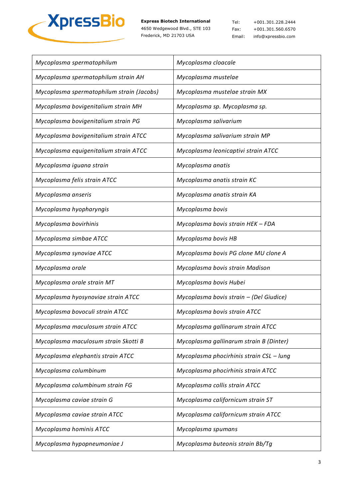

Tel: +001.301.228.2444 Fax: +001.301.560.6570 Email: info@xpressbio.com

| Mycoplasma spermatophilum                 | Mycoplasma cloacale                      |
|-------------------------------------------|------------------------------------------|
| Mycoplasma spermatophilum strain AH       | Mycoplasma mustelae                      |
| Mycoplasma spermatophilum strain (Jacobs) | Mycoplasma mustelae strain MX            |
| Mycoplasma bovigenitalium strain MH       | Mycoplasma sp. Mycoplasma sp.            |
| Mycoplasma bovigenitalium strain PG       | Mycoplasma salivarium                    |
| Mycoplasma bovigenitalium strain ATCC     | Mycoplasma salivarium strain MP          |
| Mycoplasma equigenitalium strain ATCC     | Mycoplasma leonicaptivi strain ATCC      |
| Mycoplasma iguana strain                  | Mycoplasma anatis                        |
| Mycoplasma felis strain ATCC              | Mycoplasma anatis strain KC              |
| Mycoplasma anseris                        | Mycoplasma anatis strain KA              |
| Mycoplasma hyopharyngis                   | Mycoplasma bovis                         |
| Mycoplasma bovirhinis                     | Mycoplasma bovis strain HEK - FDA        |
| Mycoplasma simbae ATCC                    | Mycoplasma bovis HB                      |
| Mycoplasma synoviae ATCC                  | Mycoplasma bovis PG clone MU clone A     |
| Mycoplasma orale                          | Mycoplasma bovis strain Madison          |
| Mycoplasma orale strain MT                | Mycoplasma bovis Hubei                   |
| Mycoplasma hyosynoviae strain ATCC        | Mycoplasma bovis strain - (Del Giudice)  |
| Mycoplasma bovoculi strain ATCC           | Mycoplasma bovis strain ATCC             |
| Mycoplasma maculosum strain ATCC          | Mycoplasma gallinarum strain ATCC        |
| Mycoplasma maculosum strain Skotti B      | Mycoplasma gallinarum strain B (Dinter)  |
| Mycoplasma elephantis strain ATCC         | Mycoplasma phocirhinis strain CSL - lung |
| Mycoplasma columbinum                     | Mycoplasma phocirhinis strain ATCC       |
| Mycoplasma columbinum strain FG           | Mycoplasma collis strain ATCC            |
| Mycoplasma caviae strain G                | Mycoplasma californicum strain ST        |
| Mycoplasma caviae strain ATCC             | Mycoplasma californicum strain ATCC      |
| Mycoplasma hominis ATCC                   | Mycoplasma spumans                       |
| Mycoplasma hypopneumoniae J               | Mycoplasma buteonis strain Bb/Tg         |